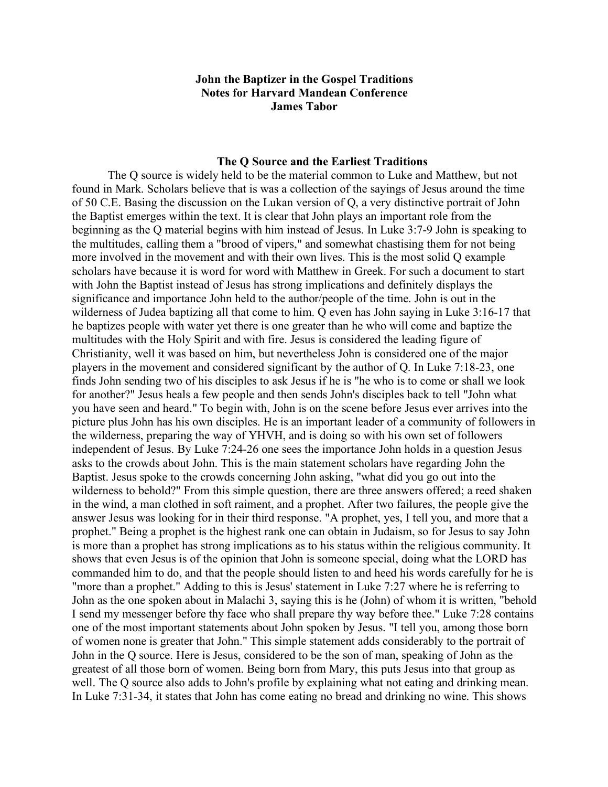## **John the Baptizer in the Gospel Traditions Notes for Harvard Mandean Conference James Tabor**

#### **The Q Source and the Earliest Traditions**

The Q source is widely held to be the material common to Luke and Matthew, but not found in Mark. Scholars believe that is was a collection of the sayings of Jesus around the time of 50 C.E. Basing the discussion on the Lukan version of Q, a very distinctive portrait of John the Baptist emerges within the text. It is clear that John plays an important role from the beginning as the Q material begins with him instead of Jesus. In Luke 3:7-9 John is speaking to the multitudes, calling them a "brood of vipers," and somewhat chastising them for not being more involved in the movement and with their own lives. This is the most solid Q example scholars have because it is word for word with Matthew in Greek. For such a document to start with John the Baptist instead of Jesus has strong implications and definitely displays the significance and importance John held to the author/people of the time. John is out in the wilderness of Judea baptizing all that come to him. Q even has John saying in Luke 3:16-17 that he baptizes people with water yet there is one greater than he who will come and baptize the multitudes with the Holy Spirit and with fire. Jesus is considered the leading figure of Christianity, well it was based on him, but nevertheless John is considered one of the major players in the movement and considered significant by the author of Q. In Luke 7:18-23, one finds John sending two of his disciples to ask Jesus if he is "he who is to come or shall we look for another?" Jesus heals a few people and then sends John's disciples back to tell "John what you have seen and heard." To begin with, John is on the scene before Jesus ever arrives into the picture plus John has his own disciples. He is an important leader of a community of followers in the wilderness, preparing the way of YHVH, and is doing so with his own set of followers independent of Jesus. By Luke 7:24-26 one sees the importance John holds in a question Jesus asks to the crowds about John. This is the main statement scholars have regarding John the Baptist. Jesus spoke to the crowds concerning John asking, "what did you go out into the wilderness to behold?" From this simple question, there are three answers offered; a reed shaken in the wind, a man clothed in soft raiment, and a prophet. After two failures, the people give the answer Jesus was looking for in their third response. "A prophet, yes, I tell you, and more that a prophet." Being a prophet is the highest rank one can obtain in Judaism, so for Jesus to say John is more than a prophet has strong implications as to his status within the religious community. It shows that even Jesus is of the opinion that John is someone special, doing what the LORD has commanded him to do, and that the people should listen to and heed his words carefully for he is "more than a prophet." Adding to this is Jesus' statement in Luke 7:27 where he is referring to John as the one spoken about in Malachi 3, saying this is he (John) of whom it is written, "behold I send my messenger before thy face who shall prepare thy way before thee." Luke 7:28 contains one of the most important statements about John spoken by Jesus. "I tell you, among those born of women none is greater that John." This simple statement adds considerably to the portrait of John in the Q source. Here is Jesus, considered to be the son of man, speaking of John as the greatest of all those born of women. Being born from Mary, this puts Jesus into that group as well. The Q source also adds to John's profile by explaining what not eating and drinking mean. In Luke 7:31-34, it states that John has come eating no bread and drinking no wine. This shows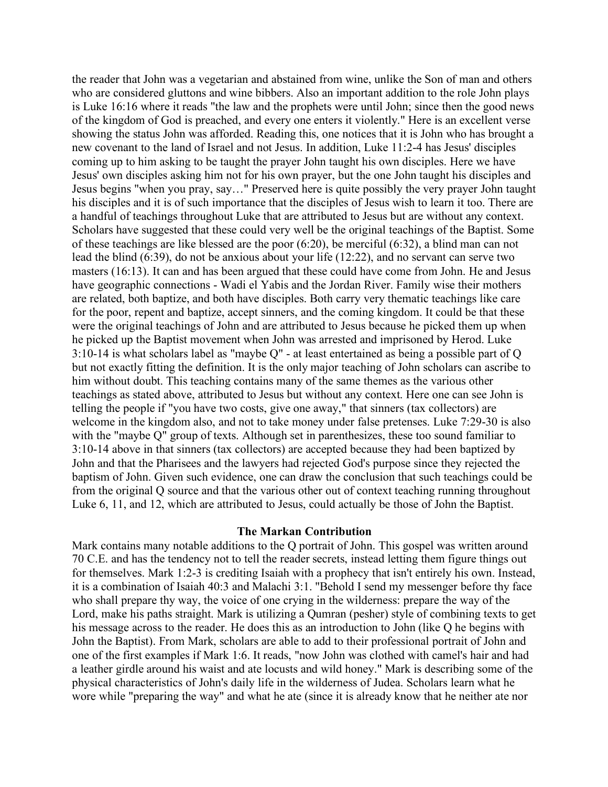the reader that John was a vegetarian and abstained from wine, unlike the Son of man and others who are considered gluttons and wine bibbers. Also an important addition to the role John plays is Luke 16:16 where it reads "the law and the prophets were until John; since then the good news of the kingdom of God is preached, and every one enters it violently." Here is an excellent verse showing the status John was afforded. Reading this, one notices that it is John who has brought a new covenant to the land of Israel and not Jesus. In addition, Luke 11:2-4 has Jesus' disciples coming up to him asking to be taught the prayer John taught his own disciples. Here we have Jesus' own disciples asking him not for his own prayer, but the one John taught his disciples and Jesus begins "when you pray, say…" Preserved here is quite possibly the very prayer John taught his disciples and it is of such importance that the disciples of Jesus wish to learn it too. There are a handful of teachings throughout Luke that are attributed to Jesus but are without any context. Scholars have suggested that these could very well be the original teachings of the Baptist. Some of these teachings are like blessed are the poor (6:20), be merciful (6:32), a blind man can not lead the blind (6:39), do not be anxious about your life (12:22), and no servant can serve two masters (16:13). It can and has been argued that these could have come from John. He and Jesus have geographic connections - Wadi el Yabis and the Jordan River. Family wise their mothers are related, both baptize, and both have disciples. Both carry very thematic teachings like care for the poor, repent and baptize, accept sinners, and the coming kingdom. It could be that these were the original teachings of John and are attributed to Jesus because he picked them up when he picked up the Baptist movement when John was arrested and imprisoned by Herod. Luke 3:10-14 is what scholars label as "maybe Q" - at least entertained as being a possible part of Q but not exactly fitting the definition. It is the only major teaching of John scholars can ascribe to him without doubt. This teaching contains many of the same themes as the various other teachings as stated above, attributed to Jesus but without any context. Here one can see John is telling the people if "you have two costs, give one away," that sinners (tax collectors) are welcome in the kingdom also, and not to take money under false pretenses. Luke 7:29-30 is also with the "maybe Q" group of texts. Although set in parenthesizes, these too sound familiar to 3:10-14 above in that sinners (tax collectors) are accepted because they had been baptized by John and that the Pharisees and the lawyers had rejected God's purpose since they rejected the baptism of John. Given such evidence, one can draw the conclusion that such teachings could be from the original Q source and that the various other out of context teaching running throughout Luke 6, 11, and 12, which are attributed to Jesus, could actually be those of John the Baptist.

## **The Markan Contribution**

Mark contains many notable additions to the Q portrait of John. This gospel was written around 70 C.E. and has the tendency not to tell the reader secrets, instead letting them figure things out for themselves. Mark 1:2-3 is crediting Isaiah with a prophecy that isn't entirely his own. Instead, it is a combination of Isaiah 40:3 and Malachi 3:1. "Behold I send my messenger before thy face who shall prepare thy way, the voice of one crying in the wilderness: prepare the way of the Lord, make his paths straight. Mark is utilizing a Qumran (pesher) style of combining texts to get his message across to the reader. He does this as an introduction to John (like Q he begins with John the Baptist). From Mark, scholars are able to add to their professional portrait of John and one of the first examples if Mark 1:6. It reads, "now John was clothed with camel's hair and had a leather girdle around his waist and ate locusts and wild honey." Mark is describing some of the physical characteristics of John's daily life in the wilderness of Judea. Scholars learn what he wore while "preparing the way" and what he ate (since it is already know that he neither ate nor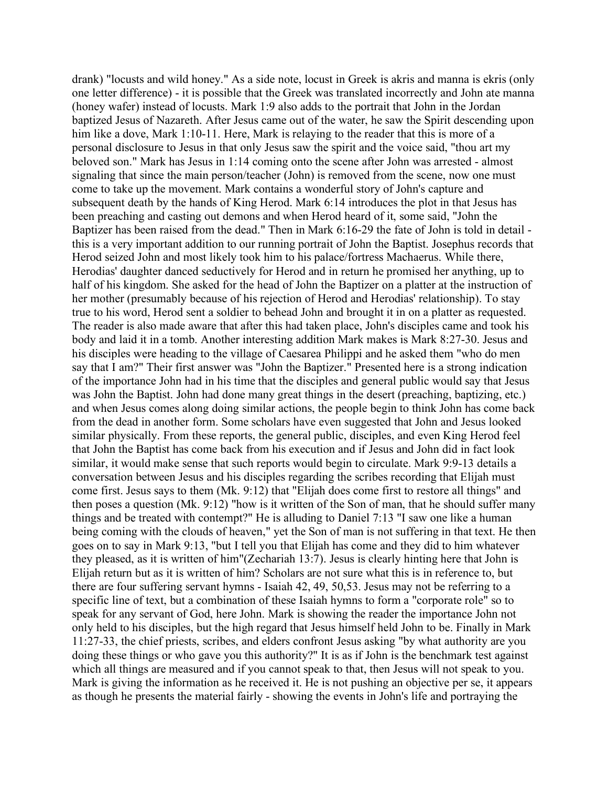drank) "locusts and wild honey." As a side note, locust in Greek is akris and manna is ekris (only one letter difference) - it is possible that the Greek was translated incorrectly and John ate manna (honey wafer) instead of locusts. Mark 1:9 also adds to the portrait that John in the Jordan baptized Jesus of Nazareth. After Jesus came out of the water, he saw the Spirit descending upon him like a dove, Mark 1:10-11. Here, Mark is relaying to the reader that this is more of a personal disclosure to Jesus in that only Jesus saw the spirit and the voice said, "thou art my beloved son." Mark has Jesus in 1:14 coming onto the scene after John was arrested - almost signaling that since the main person/teacher (John) is removed from the scene, now one must come to take up the movement. Mark contains a wonderful story of John's capture and subsequent death by the hands of King Herod. Mark 6:14 introduces the plot in that Jesus has been preaching and casting out demons and when Herod heard of it, some said, "John the Baptizer has been raised from the dead." Then in Mark 6:16-29 the fate of John is told in detail this is a very important addition to our running portrait of John the Baptist. Josephus records that Herod seized John and most likely took him to his palace/fortress Machaerus. While there, Herodias' daughter danced seductively for Herod and in return he promised her anything, up to half of his kingdom. She asked for the head of John the Baptizer on a platter at the instruction of her mother (presumably because of his rejection of Herod and Herodias' relationship). To stay true to his word, Herod sent a soldier to behead John and brought it in on a platter as requested. The reader is also made aware that after this had taken place, John's disciples came and took his body and laid it in a tomb. Another interesting addition Mark makes is Mark 8:27-30. Jesus and his disciples were heading to the village of Caesarea Philippi and he asked them "who do men say that I am?" Their first answer was "John the Baptizer." Presented here is a strong indication of the importance John had in his time that the disciples and general public would say that Jesus was John the Baptist. John had done many great things in the desert (preaching, baptizing, etc.) and when Jesus comes along doing similar actions, the people begin to think John has come back from the dead in another form. Some scholars have even suggested that John and Jesus looked similar physically. From these reports, the general public, disciples, and even King Herod feel that John the Baptist has come back from his execution and if Jesus and John did in fact look similar, it would make sense that such reports would begin to circulate. Mark 9:9-13 details a conversation between Jesus and his disciples regarding the scribes recording that Elijah must come first. Jesus says to them (Mk. 9:12) that "Elijah does come first to restore all things" and then poses a question (Mk. 9:12) "how is it written of the Son of man, that he should suffer many things and be treated with contempt?" He is alluding to Daniel 7:13 "I saw one like a human being coming with the clouds of heaven," yet the Son of man is not suffering in that text. He then goes on to say in Mark 9:13, "but I tell you that Elijah has come and they did to him whatever they pleased, as it is written of him"(Zechariah 13:7). Jesus is clearly hinting here that John is Elijah return but as it is written of him? Scholars are not sure what this is in reference to, but there are four suffering servant hymns - Isaiah 42, 49, 50,53. Jesus may not be referring to a specific line of text, but a combination of these Isaiah hymns to form a "corporate role" so to speak for any servant of God, here John. Mark is showing the reader the importance John not only held to his disciples, but the high regard that Jesus himself held John to be. Finally in Mark 11:27-33, the chief priests, scribes, and elders confront Jesus asking "by what authority are you doing these things or who gave you this authority?" It is as if John is the benchmark test against which all things are measured and if you cannot speak to that, then Jesus will not speak to you. Mark is giving the information as he received it. He is not pushing an objective per se, it appears as though he presents the material fairly - showing the events in John's life and portraying the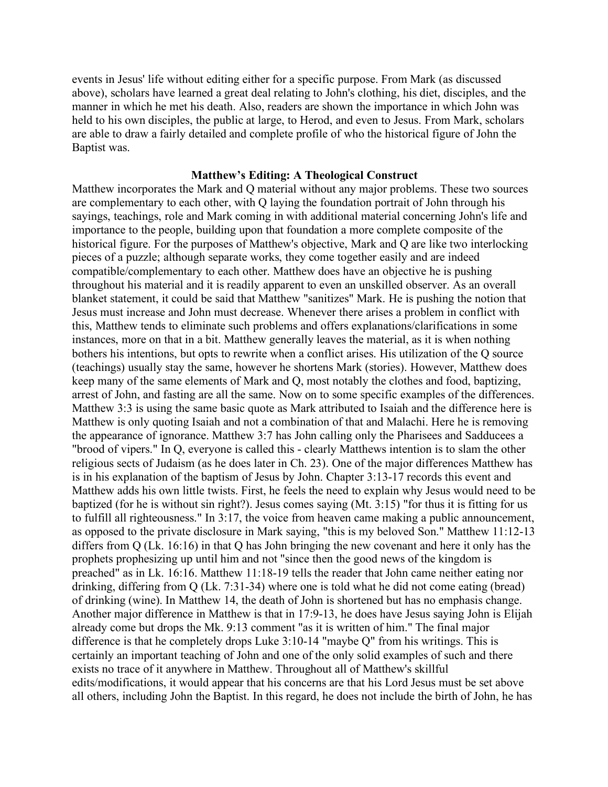events in Jesus' life without editing either for a specific purpose. From Mark (as discussed above), scholars have learned a great deal relating to John's clothing, his diet, disciples, and the manner in which he met his death. Also, readers are shown the importance in which John was held to his own disciples, the public at large, to Herod, and even to Jesus. From Mark, scholars are able to draw a fairly detailed and complete profile of who the historical figure of John the Baptist was.

# **Matthew's Editing: A Theological Construct**

Matthew incorporates the Mark and Q material without any major problems. These two sources are complementary to each other, with Q laying the foundation portrait of John through his sayings, teachings, role and Mark coming in with additional material concerning John's life and importance to the people, building upon that foundation a more complete composite of the historical figure. For the purposes of Matthew's objective, Mark and Q are like two interlocking pieces of a puzzle; although separate works, they come together easily and are indeed compatible/complementary to each other. Matthew does have an objective he is pushing throughout his material and it is readily apparent to even an unskilled observer. As an overall blanket statement, it could be said that Matthew "sanitizes" Mark. He is pushing the notion that Jesus must increase and John must decrease. Whenever there arises a problem in conflict with this, Matthew tends to eliminate such problems and offers explanations/clarifications in some instances, more on that in a bit. Matthew generally leaves the material, as it is when nothing bothers his intentions, but opts to rewrite when a conflict arises. His utilization of the Q source (teachings) usually stay the same, however he shortens Mark (stories). However, Matthew does keep many of the same elements of Mark and Q, most notably the clothes and food, baptizing, arrest of John, and fasting are all the same. Now on to some specific examples of the differences. Matthew 3:3 is using the same basic quote as Mark attributed to Isaiah and the difference here is Matthew is only quoting Isaiah and not a combination of that and Malachi. Here he is removing the appearance of ignorance. Matthew 3:7 has John calling only the Pharisees and Sadducees a "brood of vipers." In Q, everyone is called this - clearly Matthews intention is to slam the other religious sects of Judaism (as he does later in Ch. 23). One of the major differences Matthew has is in his explanation of the baptism of Jesus by John. Chapter 3:13-17 records this event and Matthew adds his own little twists. First, he feels the need to explain why Jesus would need to be baptized (for he is without sin right?). Jesus comes saying (Mt. 3:15) "for thus it is fitting for us to fulfill all righteousness." In 3:17, the voice from heaven came making a public announcement, as opposed to the private disclosure in Mark saying, "this is my beloved Son." Matthew 11:12-13 differs from Q (Lk. 16:16) in that Q has John bringing the new covenant and here it only has the prophets prophesizing up until him and not "since then the good news of the kingdom is preached" as in Lk. 16:16. Matthew 11:18-19 tells the reader that John came neither eating nor drinking, differing from Q (Lk. 7:31-34) where one is told what he did not come eating (bread) of drinking (wine). In Matthew 14, the death of John is shortened but has no emphasis change. Another major difference in Matthew is that in 17:9-13, he does have Jesus saying John is Elijah already come but drops the Mk. 9:13 comment "as it is written of him." The final major difference is that he completely drops Luke 3:10-14 "maybe Q" from his writings. This is certainly an important teaching of John and one of the only solid examples of such and there exists no trace of it anywhere in Matthew. Throughout all of Matthew's skillful edits/modifications, it would appear that his concerns are that his Lord Jesus must be set above all others, including John the Baptist. In this regard, he does not include the birth of John, he has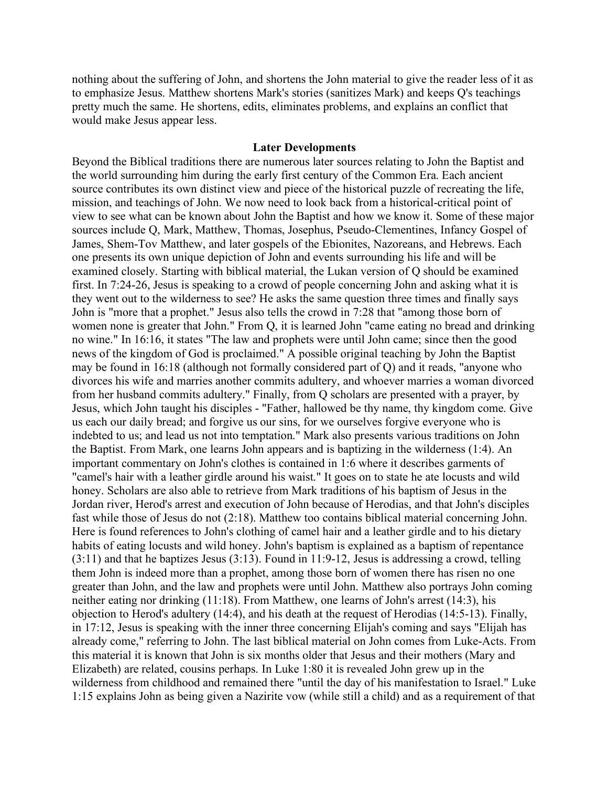nothing about the suffering of John, and shortens the John material to give the reader less of it as to emphasize Jesus. Matthew shortens Mark's stories (sanitizes Mark) and keeps Q's teachings pretty much the same. He shortens, edits, eliminates problems, and explains an conflict that would make Jesus appear less.

#### **Later Developments**

Beyond the Biblical traditions there are numerous later sources relating to John the Baptist and the world surrounding him during the early first century of the Common Era. Each ancient source contributes its own distinct view and piece of the historical puzzle of recreating the life, mission, and teachings of John. We now need to look back from a historical-critical point of view to see what can be known about John the Baptist and how we know it. Some of these major sources include Q, Mark, Matthew, Thomas, Josephus, Pseudo-Clementines, Infancy Gospel of James, Shem-Tov Matthew, and later gospels of the Ebionites, Nazoreans, and Hebrews. Each one presents its own unique depiction of John and events surrounding his life and will be examined closely. Starting with biblical material, the Lukan version of Q should be examined first. In 7:24-26, Jesus is speaking to a crowd of people concerning John and asking what it is they went out to the wilderness to see? He asks the same question three times and finally says John is "more that a prophet." Jesus also tells the crowd in 7:28 that "among those born of women none is greater that John." From Q, it is learned John "came eating no bread and drinking no wine." In 16:16, it states "The law and prophets were until John came; since then the good news of the kingdom of God is proclaimed." A possible original teaching by John the Baptist may be found in 16:18 (although not formally considered part of Q) and it reads, "anyone who divorces his wife and marries another commits adultery, and whoever marries a woman divorced from her husband commits adultery." Finally, from Q scholars are presented with a prayer, by Jesus, which John taught his disciples - "Father, hallowed be thy name, thy kingdom come. Give us each our daily bread; and forgive us our sins, for we ourselves forgive everyone who is indebted to us; and lead us not into temptation." Mark also presents various traditions on John the Baptist. From Mark, one learns John appears and is baptizing in the wilderness (1:4). An important commentary on John's clothes is contained in 1:6 where it describes garments of "camel's hair with a leather girdle around his waist." It goes on to state he ate locusts and wild honey. Scholars are also able to retrieve from Mark traditions of his baptism of Jesus in the Jordan river, Herod's arrest and execution of John because of Herodias, and that John's disciples fast while those of Jesus do not (2:18). Matthew too contains biblical material concerning John. Here is found references to John's clothing of camel hair and a leather girdle and to his dietary habits of eating locusts and wild honey. John's baptism is explained as a baptism of repentance (3:11) and that he baptizes Jesus (3:13). Found in 11:9-12, Jesus is addressing a crowd, telling them John is indeed more than a prophet, among those born of women there has risen no one greater than John, and the law and prophets were until John. Matthew also portrays John coming neither eating nor drinking (11:18). From Matthew, one learns of John's arrest (14:3), his objection to Herod's adultery (14:4), and his death at the request of Herodias (14:5-13). Finally, in 17:12, Jesus is speaking with the inner three concerning Elijah's coming and says "Elijah has already come," referring to John. The last biblical material on John comes from Luke-Acts. From this material it is known that John is six months older that Jesus and their mothers (Mary and Elizabeth) are related, cousins perhaps. In Luke 1:80 it is revealed John grew up in the wilderness from childhood and remained there "until the day of his manifestation to Israel." Luke 1:15 explains John as being given a Nazirite vow (while still a child) and as a requirement of that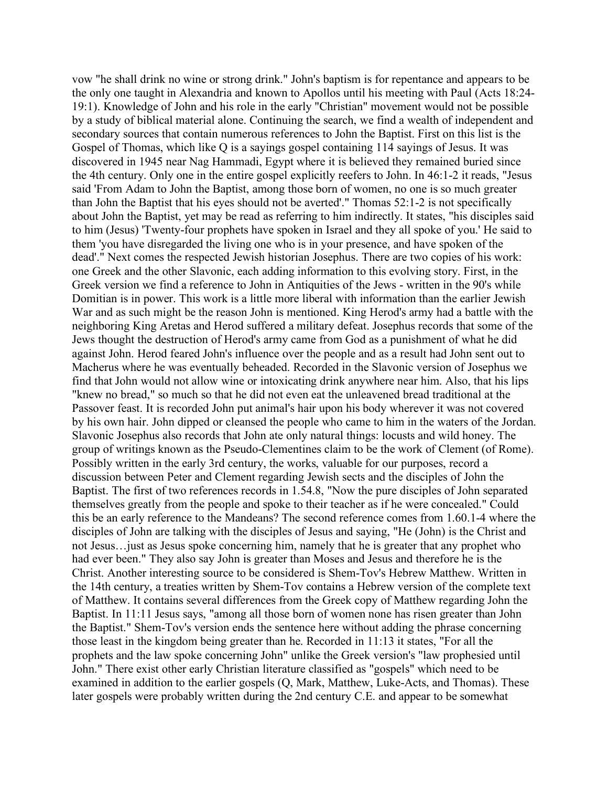vow "he shall drink no wine or strong drink." John's baptism is for repentance and appears to be the only one taught in Alexandria and known to Apollos until his meeting with Paul (Acts 18:24- 19:1). Knowledge of John and his role in the early "Christian" movement would not be possible by a study of biblical material alone. Continuing the search, we find a wealth of independent and secondary sources that contain numerous references to John the Baptist. First on this list is the Gospel of Thomas, which like Q is a sayings gospel containing 114 sayings of Jesus. It was discovered in 1945 near Nag Hammadi, Egypt where it is believed they remained buried since the 4th century. Only one in the entire gospel explicitly reefers to John. In 46:1-2 it reads, "Jesus said 'From Adam to John the Baptist, among those born of women, no one is so much greater than John the Baptist that his eyes should not be averted'." Thomas 52:1-2 is not specifically about John the Baptist, yet may be read as referring to him indirectly. It states, "his disciples said to him (Jesus) 'Twenty-four prophets have spoken in Israel and they all spoke of you.' He said to them 'you have disregarded the living one who is in your presence, and have spoken of the dead'." Next comes the respected Jewish historian Josephus. There are two copies of his work: one Greek and the other Slavonic, each adding information to this evolving story. First, in the Greek version we find a reference to John in Antiquities of the Jews - written in the 90's while Domitian is in power. This work is a little more liberal with information than the earlier Jewish War and as such might be the reason John is mentioned. King Herod's army had a battle with the neighboring King Aretas and Herod suffered a military defeat. Josephus records that some of the Jews thought the destruction of Herod's army came from God as a punishment of what he did against John. Herod feared John's influence over the people and as a result had John sent out to Macherus where he was eventually beheaded. Recorded in the Slavonic version of Josephus we find that John would not allow wine or intoxicating drink anywhere near him. Also, that his lips "knew no bread," so much so that he did not even eat the unleavened bread traditional at the Passover feast. It is recorded John put animal's hair upon his body wherever it was not covered by his own hair. John dipped or cleansed the people who came to him in the waters of the Jordan. Slavonic Josephus also records that John ate only natural things: locusts and wild honey. The group of writings known as the Pseudo-Clementines claim to be the work of Clement (of Rome). Possibly written in the early 3rd century, the works, valuable for our purposes, record a discussion between Peter and Clement regarding Jewish sects and the disciples of John the Baptist. The first of two references records in 1.54.8, "Now the pure disciples of John separated themselves greatly from the people and spoke to their teacher as if he were concealed." Could this be an early reference to the Mandeans? The second reference comes from 1.60.1-4 where the disciples of John are talking with the disciples of Jesus and saying, "He (John) is the Christ and not Jesus…just as Jesus spoke concerning him, namely that he is greater that any prophet who had ever been." They also say John is greater than Moses and Jesus and therefore he is the Christ. Another interesting source to be considered is Shem-Tov's Hebrew Matthew. Written in the 14th century, a treaties written by Shem-Tov contains a Hebrew version of the complete text of Matthew. It contains several differences from the Greek copy of Matthew regarding John the Baptist. In 11:11 Jesus says, "among all those born of women none has risen greater than John the Baptist." Shem-Tov's version ends the sentence here without adding the phrase concerning those least in the kingdom being greater than he. Recorded in 11:13 it states, "For all the prophets and the law spoke concerning John" unlike the Greek version's "law prophesied until John." There exist other early Christian literature classified as "gospels" which need to be examined in addition to the earlier gospels (Q, Mark, Matthew, Luke-Acts, and Thomas). These later gospels were probably written during the 2nd century C.E. and appear to be somewhat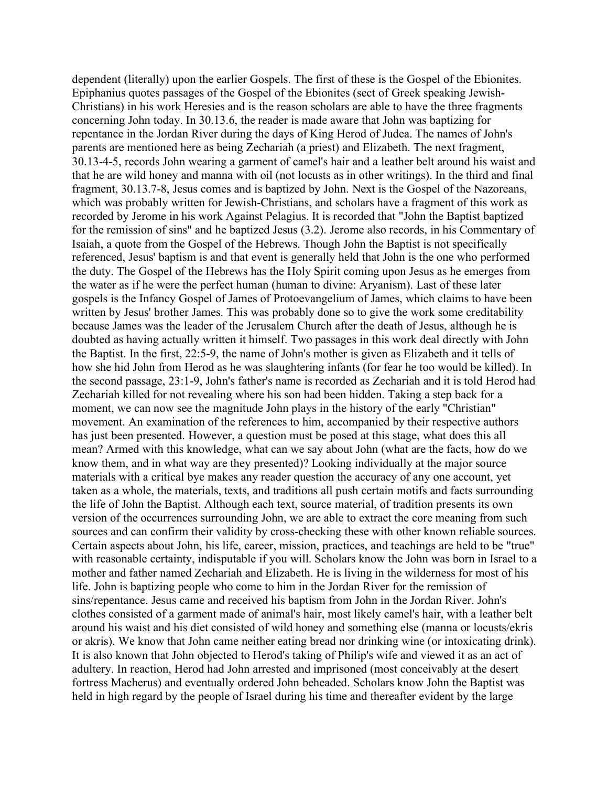dependent (literally) upon the earlier Gospels. The first of these is the Gospel of the Ebionites. Epiphanius quotes passages of the Gospel of the Ebionites (sect of Greek speaking Jewish-Christians) in his work Heresies and is the reason scholars are able to have the three fragments concerning John today. In 30.13.6, the reader is made aware that John was baptizing for repentance in the Jordan River during the days of King Herod of Judea. The names of John's parents are mentioned here as being Zechariah (a priest) and Elizabeth. The next fragment, 30.13-4-5, records John wearing a garment of camel's hair and a leather belt around his waist and that he are wild honey and manna with oil (not locusts as in other writings). In the third and final fragment, 30.13.7-8, Jesus comes and is baptized by John. Next is the Gospel of the Nazoreans, which was probably written for Jewish-Christians, and scholars have a fragment of this work as recorded by Jerome in his work Against Pelagius. It is recorded that "John the Baptist baptized for the remission of sins" and he baptized Jesus (3.2). Jerome also records, in his Commentary of Isaiah, a quote from the Gospel of the Hebrews. Though John the Baptist is not specifically referenced, Jesus' baptism is and that event is generally held that John is the one who performed the duty. The Gospel of the Hebrews has the Holy Spirit coming upon Jesus as he emerges from the water as if he were the perfect human (human to divine: Aryanism). Last of these later gospels is the Infancy Gospel of James of Protoevangelium of James, which claims to have been written by Jesus' brother James. This was probably done so to give the work some creditability because James was the leader of the Jerusalem Church after the death of Jesus, although he is doubted as having actually written it himself. Two passages in this work deal directly with John the Baptist. In the first, 22:5-9, the name of John's mother is given as Elizabeth and it tells of how she hid John from Herod as he was slaughtering infants (for fear he too would be killed). In the second passage, 23:1-9, John's father's name is recorded as Zechariah and it is told Herod had Zechariah killed for not revealing where his son had been hidden. Taking a step back for a moment, we can now see the magnitude John plays in the history of the early "Christian" movement. An examination of the references to him, accompanied by their respective authors has just been presented. However, a question must be posed at this stage, what does this all mean? Armed with this knowledge, what can we say about John (what are the facts, how do we know them, and in what way are they presented)? Looking individually at the major source materials with a critical bye makes any reader question the accuracy of any one account, yet taken as a whole, the materials, texts, and traditions all push certain motifs and facts surrounding the life of John the Baptist. Although each text, source material, of tradition presents its own version of the occurrences surrounding John, we are able to extract the core meaning from such sources and can confirm their validity by cross-checking these with other known reliable sources. Certain aspects about John, his life, career, mission, practices, and teachings are held to be "true" with reasonable certainty, indisputable if you will. Scholars know the John was born in Israel to a mother and father named Zechariah and Elizabeth. He is living in the wilderness for most of his life. John is baptizing people who come to him in the Jordan River for the remission of sins/repentance. Jesus came and received his baptism from John in the Jordan River. John's clothes consisted of a garment made of animal's hair, most likely camel's hair, with a leather belt around his waist and his diet consisted of wild honey and something else (manna or locusts/ekris or akris). We know that John came neither eating bread nor drinking wine (or intoxicating drink). It is also known that John objected to Herod's taking of Philip's wife and viewed it as an act of adultery. In reaction, Herod had John arrested and imprisoned (most conceivably at the desert fortress Macherus) and eventually ordered John beheaded. Scholars know John the Baptist was held in high regard by the people of Israel during his time and thereafter evident by the large